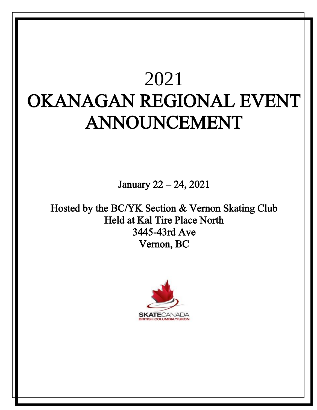# $\frac{1}{2}$ SUMMERSKATE COMPETITION 2021 OKANAGAN REGIONAL EVENT ANNOUNCEMENT

January 22 – 24, 2021

3445-43rd Ave<br>Neman PC  $\sigma$  $\sum$ Hosted by the BC/YK Section & Vernon Skating Club Held at Kal Tire Place North Vernon, BC

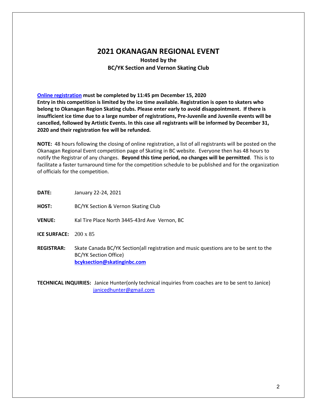# **2021 OKANAGAN REGIONAL EVENT**

**Hosted by the BC/YK Section and Vernon Skating Club**

**[Online registration](https://skatecanada.wufoo.com/forms/q5ya5da1q6wm29/) must be completed by 11:45 pm December 15, 2020 Entry in this competition is limited by the ice time available. Registration is open to skaters who belong to Okanagan Region Skating clubs. Please enter early to avoid disappointment. If there is insufficient ice time due to a large number of registrations, Pre-Juvenile and Juvenile events will be cancelled, followed by Artistic Events. In this case all registrants will be informed by December 31, 2020 and their registration fee will be refunded.**

**NOTE:** 48 hours following the closing of online registration, a list of all registrants will be posted on the Okanagan Regional Event competition page of Skating in BC website. Everyone then has 48 hours to notify the Registrar of any changes. **Beyond this time period, no changes will be permitted**. This is to facilitate a faster turnaround time for the competition schedule to be published and for the organization of officials for the competition.

**DATE:** January 22-24, 2021

**HOST:** BC/YK Section & Vernon Skating Club

**VENUE:** Kal Tire Place North 3445-43rd Ave Vernon, BC

**ICE SURFACE:** 200 x 85

**REGISTRAR:** Skate Canada BC/YK Section(all registration and music questions are to be sent to the BC/YK Section Office) **[bcyksection@skatinginbc.com](mailto:bcyksection@skatinginbc.com)**

**TECHNICAL INQUIRIES:** Janice Hunter(only technical inquiries from coaches are to be sent to Janice) [janicedhunter@gmail.com](mailto:janicedhunter@gmail.com)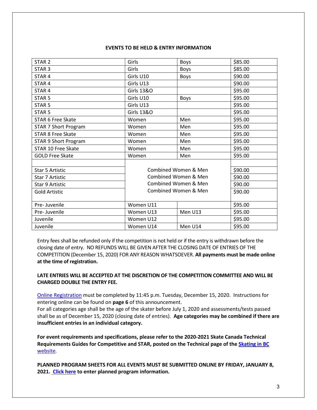#### **EVENTS TO BE HELD & ENTRY INFORMATION**

| STAR <sub>2</sub>           | Girls                 | Boys    | \$85.00 |
|-----------------------------|-----------------------|---------|---------|
| STAR <sub>3</sub>           | Girls                 | Boys    | \$85.00 |
| STAR <sub>4</sub>           | Girls U10             | Boys    | \$90.00 |
| STAR <sub>4</sub>           | Girls U13             |         | \$90.00 |
| STAR <sub>4</sub>           | <b>Girls 13&amp;O</b> |         | \$95.00 |
| STAR <sub>5</sub>           | Girls U10             | Boys    | \$95.00 |
| STAR <sub>5</sub>           | Girls U13             |         | \$95.00 |
| STAR <sub>5</sub>           | <b>Girls 13&amp;O</b> |         | \$95.00 |
| <b>STAR 6 Free Skate</b>    | Women                 | Men     | \$95.00 |
| <b>STAR 7 Short Program</b> | Women                 | Men     | \$95.00 |
| <b>STAR 8 Free Skate</b>    | Women                 | Men     | \$95.00 |
| <b>STAR 9 Short Program</b> | Women                 | Men     | \$95.00 |
| STAR 10 Free Skate          | Women                 | Men     | \$95.00 |
| <b>GOLD Free Skate</b>      | Women                 | Men     | \$95.00 |
|                             |                       |         |         |
| <b>Star 5 Artistic</b>      | Combined Women & Men  |         | \$90.00 |
| Star 7 Artistic             | Combined Women & Men  |         | \$90.00 |
| Star 9 Artistic             | Combined Women & Men  |         | \$90.00 |
| <b>Gold Artistic</b>        | Combined Women & Men  |         | \$90.00 |
|                             |                       |         |         |
| Pre-Juvenile                | Women U11             |         | \$95.00 |
| Pre-Juvenile                | Women U13             | Men U13 | \$95.00 |
| Juvenile                    | Women U12             |         | \$95.00 |
| Juvenile                    | Women U14             | Men U14 | \$95.00 |

Entry fees shall be refunded only if the competition is not held or if the entry is withdrawn before the closing date of entry. NO REFUNDS WILL BE GIVEN AFTER THE CLOSING DATE OF ENTRIES OF THE COMPETITION (December 15, 2020) FOR ANY REASON WHATSOEVER. **All payments must be made online at the time of registration.**

### **LATE ENTRIES WILL BE ACCEPTED AT THE DISCRETION OF THE COMPETITION COMMITTEE AND WILL BE CHARGED DOUBLE THE ENTRY FEE.**

[Online Registration](https://skatecanada.wufoo.com/forms/q5ya5da1q6wm29/) must be completed by 11:45 p.m. Tuesday, December 15, 2020. Instructions for entering online can be found on **page 6** of this announcement.

For all categories age shall be the age of the skater before July 1, 2020 and assessments/tests passed shall be as of December 15, 2020 (closing date of entries). **Age categories may be combined if there are insufficient entries in an individual category.**

**For event requirements and specifications, please refer to the 2020-2021 Skate Canada Technical Requirements Guides for Competitive and STAR, posted on the Technical page of the [Skating in BC](http://www.skatinginbc.com/)**  [website](http://www.skatinginbc.com/).

**PLANNED PROGRAM SHEETS FOR ALL EVENTS MUST BE SUBMITTED ONLINE BY FRIDAY, JANUARY 8, 2021[. Click here](https://skatecanada.wufoo.com/forms/qofzb1v0t4fjdf/) to enter planned program information.**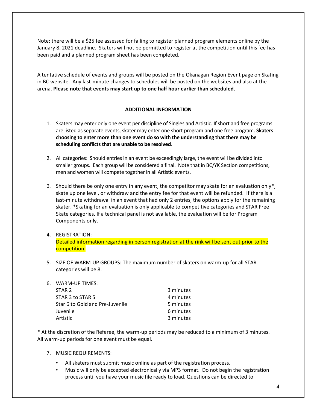Note: there will be a \$25 fee assessed for failing to register planned program elements online by the January 8, 2021 deadline. Skaters will not be permitted to register at the competition until this fee has been paid and a planned program sheet has been completed.

A tentative schedule of events and groups will be posted on the Okanagan Region Event page on Skating in BC website. Any last-minute changes to schedules will be posted on the websites and also at the arena. **Please note that events may start up to one half hour earlier than scheduled.**

#### **ADDITIONAL INFORMATION**

- 1. Skaters may enter only one event per discipline of Singles and Artistic. If short and free programs are listed as separate events, skater may enter one short program and one free program. **Skaters choosing to enter more than one event do so with the understanding that there may be scheduling conflicts that are unable to be resolved**.
- 2. All categories: Should entries in an event be exceedingly large, the event will be divided into smaller groups. Each group will be considered a final. Note that in BC/YK Section competitions, men and women will compete together in all Artistic events.
- 3. Should there be only one entry in any event, the competitor may skate for an evaluation only\*, skate up one level, or withdraw and the entry fee for that event will be refunded. If there is a last-minute withdrawal in an event that had only 2 entries, the options apply for the remaining skater. \*Skating for an evaluation is only applicable to competitive categories and STAR Free Skate categories. If a technical panel is not available, the evaluation will be for Program Components only.

## 4. REGISTRATION: Detailed information regarding in person registration at the rink will be sent out prior to the competition.

- 5. SIZE OF WARM-UP GROUPS: The maximum number of skaters on warm-up for all STAR categories will be 8.
- 6. WARM-UP TIMES:

| STAR <sub>2</sub>               | 3 minutes |
|---------------------------------|-----------|
| STAR 3 to STAR 5                | 4 minutes |
| Star 6 to Gold and Pre-Juvenile | 5 minutes |
| Juvenile                        | 6 minutes |
| Artistic                        | 3 minutes |

\* At the discretion of the Referee, the warm-up periods may be reduced to a minimum of 3 minutes. All warm-up periods for one event must be equal.

#### 7. MUSIC REQUIREMENTS:

- All skaters must submit music online as part of the registration process.
- Music will only be accepted electronically via MP3 format. Do not begin the registration process until you have your music file ready to load. Questions can be directed to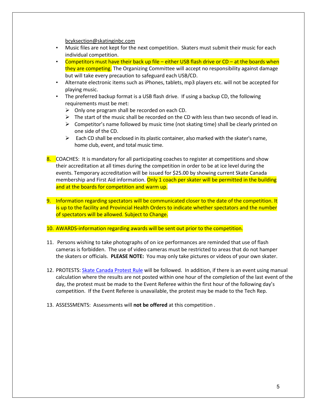[bcyksection@skatinginbc.com](mailto:bcyksection@skatinginbc.com)

- Music files are not kept for the next competition. Skaters must submit their music for each individual competition.
- Competitors must have their back up file either USB flash drive or  $CD at$  the boards when they are competing. The Organizing Committee will accept no responsibility against damage but will take every precaution to safeguard each USB/CD.
- Alternate electronic items such as iPhones, tablets, mp3 players etc. will not be accepted for playing music.
- The preferred backup format is a USB flash drive. If using a backup CD, the following requirements must be met:
	- $\triangleright$  Only one program shall be recorded on each CD.
	- $\triangleright$  The start of the music shall be recorded on the CD with less than two seconds of lead in.
	- $\triangleright$  Competitor's name followed by music time (not skating time) shall be clearly printed on one side of the CD.
	- $\triangleright$  Each CD shall be enclosed in its plastic container, also marked with the skater's name, home club, event, and total music time.
- 8. COACHES: It is mandatory for all participating coaches to register at competitions and show their accreditation at all times during the competition in order to be at ice level during the events. Temporary accreditation will be issued for \$25.00 by showing current Skate Canada membership and First Aid information. Only 1 coach per skater will be permitted in the building and at the boards for competition and warm up.
- 9. Information regarding spectators will be communicated closer to the date of the competition. It is up to the facility and Provincial Health Orders to indicate whether spectators and the number of spectators will be allowed. Subject to Change.
- 10. AWARDS-information regarding awards will be sent out prior to the competition.
- 11. Persons wishing to take photographs of on ice performances are reminded that use of flash cameras is forbidden. The use of video cameras must be restricted to areas that do not hamper the skaters or officials. **PLEASE NOTE:** You may only take pictures or videos of your own skater.
- 12. PROTESTS: [Skate Canada Protest Rule](https://info.skatecanada.ca/index.php/en-ca/rules-of-sport/54-competitions.html#h3-14-protests) will be followed. In addition, if there is an event using manual calculation where the results are not posted within one hour of the completion of the last event of the day, the protest must be made to the Event Referee within the first hour of the following day's competition. If the Event Referee is unavailable, the protest may be made to the Tech Rep.
- 13. ASSESSMENTS: Assessments will **not be offered** at this competition .